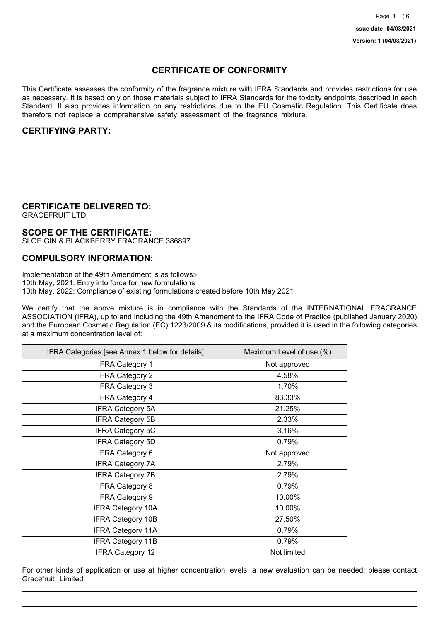## **CERTIFICATE OF CONFORMITY**

This Certificate assesses the conformity of the fragrance mixture with IFRA Standards and provides restrictions for use as necessary. It is based only on those materials subject to IFRA Standards for the toxicity endpoints described in each Standard. It also provides information on any restrictions due to the EU Cosmetic Regulation. This Certificate does therefore not replace a comprehensive safety assessment of the fragrance mixture.

## **CERTIFYING PARTY:**

## **CERTIFICATE DELIVERED TO:**

GRACEFRUIT LTD

### **SCOPE OF THE CERTIFICATE:**

SLOE GIN & BLACKBERRY FRAGRANCE 386897

### **COMPULSORY INFORMATION:**

Implementation of the 49th Amendment is as follows:- 10th May, 2021: Entry into force for new formulations 10th May, 2022: Compliance of existing formulations created before 10th May 2021

We certify that the above mixture is in compliance with the Standards of the INTERNATIONAL FRAGRANCE ASSOCIATION (IFRA), up to and including the 49th Amendment to the IFRA Code of Practice (published January 2020) and the European Cosmetic Regulation (EC) 1223/2009 & its modifications, provided it is used in the following categories at a maximum concentration level of:

| IFRA Categories [see Annex 1 below for details] | Maximum Level of use (%) |
|-------------------------------------------------|--------------------------|
| <b>IFRA Category 1</b>                          | Not approved             |
| <b>IFRA Category 2</b>                          | 4.58%                    |
| <b>IFRA Category 3</b>                          | 1.70%                    |
| <b>IFRA Category 4</b>                          | 83.33%                   |
| <b>IFRA Category 5A</b>                         | 21.25%                   |
| <b>IFRA Category 5B</b>                         | 2.33%                    |
| <b>IFRA Category 5C</b>                         | 3.16%                    |
| <b>IFRA Category 5D</b>                         | 0.79%                    |
| <b>IFRA Category 6</b>                          | Not approved             |
| <b>IFRA Category 7A</b>                         | 2.79%                    |
| <b>IFRA Category 7B</b>                         | 2.79%                    |
| <b>IFRA Category 8</b>                          | 0.79%                    |
| <b>IFRA Category 9</b>                          | 10.00%                   |
| <b>IFRA Category 10A</b>                        | 10.00%                   |
| <b>IFRA Category 10B</b>                        | 27.50%                   |
| <b>IFRA Category 11A</b>                        | 0.79%                    |
| <b>IFRA Category 11B</b>                        | 0.79%                    |
| <b>IFRA Category 12</b>                         | Not limited              |

For other kinds of application or use at higher concentration levels, a new evaluation can be needed; please contact Gracefruit Limited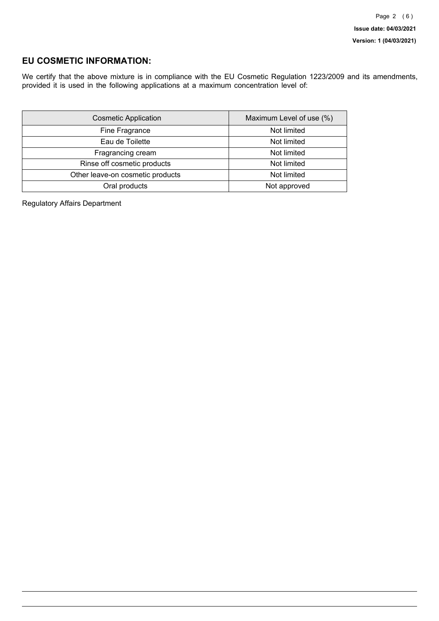## **EU COSMETIC INFORMATION:**

We certify that the above mixture is in compliance with the EU Cosmetic Regulation 1223/2009 and its amendments, provided it is used in the following applications at a maximum concentration level of:

| <b>Cosmetic Application</b>      | Maximum Level of use (%) |
|----------------------------------|--------------------------|
| Fine Fragrance                   | Not limited              |
| Eau de Toilette                  | Not limited              |
| Fragrancing cream                | Not limited              |
| Rinse off cosmetic products      | Not limited              |
| Other leave-on cosmetic products | Not limited              |
| Oral products                    | Not approved             |

Regulatory Affairs Department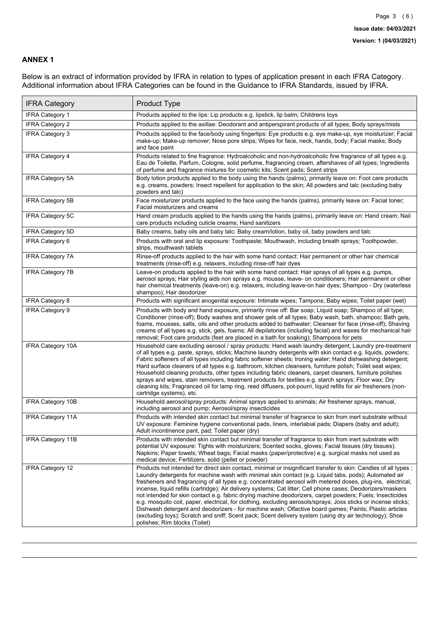### **ANNEX 1**

Below is an extract of information provided by IFRA in relation to types of application present in each IFRA Category. Additional information about IFRA Categories can be found in the Guidance to IFRA Standards, issued by IFRA.

| <b>IFRA Category</b>     | Product Type                                                                                                                                                                                                                                                                                                                                                                                                                                                                                                                                                                                                                                                                                                                                                                                                                                                                                                                                 |
|--------------------------|----------------------------------------------------------------------------------------------------------------------------------------------------------------------------------------------------------------------------------------------------------------------------------------------------------------------------------------------------------------------------------------------------------------------------------------------------------------------------------------------------------------------------------------------------------------------------------------------------------------------------------------------------------------------------------------------------------------------------------------------------------------------------------------------------------------------------------------------------------------------------------------------------------------------------------------------|
| <b>IFRA Category 1</b>   | Products applied to the lips: Lip products e.g. lipstick, lip balm; Childrens toys                                                                                                                                                                                                                                                                                                                                                                                                                                                                                                                                                                                                                                                                                                                                                                                                                                                           |
| <b>IFRA Category 2</b>   | Products applied to the axillae: Deodorant and antiperspirant products of all types; Body sprays/mists                                                                                                                                                                                                                                                                                                                                                                                                                                                                                                                                                                                                                                                                                                                                                                                                                                       |
| <b>IFRA Category 3</b>   | Products applied to the face/body using fingertips: Eye products e.g. eye make-up, eye moisturizer; Facial<br>make-up; Make-up remover; Nose pore strips; Wipes for face, neck, hands, body; Facial masks; Body<br>and face paint                                                                                                                                                                                                                                                                                                                                                                                                                                                                                                                                                                                                                                                                                                            |
| <b>IFRA Category 4</b>   | Products related to fine fragrance: Hydroalcoholic and non-hydroalcoholic fine fragrance of all types e.g.<br>Eau de Toilette, Parfum, Cologne, solid perfume, fragrancing cream, aftershaves of all types; Ingredients<br>of perfume and fragrance mixtures for cosmetic kits; Scent pads; Scent strips                                                                                                                                                                                                                                                                                                                                                                                                                                                                                                                                                                                                                                     |
| <b>IFRA Category 5A</b>  | Body lotion products applied to the body using the hands (palms), primarily leave on: Foot care products<br>e.g. creams, powders; Insect repellent for application to the skin; All powders and talc (excluding baby<br>powders and talc)                                                                                                                                                                                                                                                                                                                                                                                                                                                                                                                                                                                                                                                                                                    |
| IFRA Category 5B         | Face moisturizer products applied to the face using the hands (palms), primarily leave on: Facial toner;<br>Facial moisturizers and creams                                                                                                                                                                                                                                                                                                                                                                                                                                                                                                                                                                                                                                                                                                                                                                                                   |
| <b>IFRA Category 5C</b>  | Hand cream products applied to the hands using the hands (palms), primarily leave on: Hand cream; Nail<br>care products including cuticle creams; Hand sanitizers                                                                                                                                                                                                                                                                                                                                                                                                                                                                                                                                                                                                                                                                                                                                                                            |
| <b>IFRA Category 5D</b>  | Baby creams, baby oils and baby talc: Baby cream/lotion, baby oil, baby powders and talc                                                                                                                                                                                                                                                                                                                                                                                                                                                                                                                                                                                                                                                                                                                                                                                                                                                     |
| IFRA Category 6          | Products with oral and lip exposure: Toothpaste; Mouthwash, including breath sprays; Toothpowder,<br>strips, mouthwash tablets                                                                                                                                                                                                                                                                                                                                                                                                                                                                                                                                                                                                                                                                                                                                                                                                               |
| <b>IFRA Category 7A</b>  | Rinse-off products applied to the hair with some hand contact: Hair permanent or other hair chemical<br>treatments (rinse-off) e.g. relaxers, including rinse-off hair dyes                                                                                                                                                                                                                                                                                                                                                                                                                                                                                                                                                                                                                                                                                                                                                                  |
| <b>IFRA Category 7B</b>  | Leave-on products applied to the hair with some hand contact: Hair sprays of all types e.g. pumps,<br>aerosol sprays; Hair styling aids non sprays e.g. mousse, leave- on conditioners; Hair permanent or other<br>hair chemical treatments (leave-on) e.g. relaxers, including leave-on hair dyes; Shampoo - Dry (waterless<br>shampoo); Hair deodorizer                                                                                                                                                                                                                                                                                                                                                                                                                                                                                                                                                                                    |
| <b>IFRA Category 8</b>   | Products with significant anogenital exposure: Intimate wipes; Tampons; Baby wipes; Toilet paper (wet)                                                                                                                                                                                                                                                                                                                                                                                                                                                                                                                                                                                                                                                                                                                                                                                                                                       |
| IFRA Category 9          | Products with body and hand exposure, primarily rinse off: Bar soap; Liquid soap; Shampoo of all type;<br>Conditioner (rinse-off); Body washes and shower gels of all types; Baby wash, bath, shampoo; Bath gels,<br>foams, mousses, salts, oils and other products added to bathwater; Cleanser for face (rinse-off); Shaving<br>creams of all types e.g. stick, gels, foams; All depilatories (including facial) and waxes for mechanical hair<br>removal; Foot care products (feet are placed in a bath for soaking); Shampoos for pets                                                                                                                                                                                                                                                                                                                                                                                                   |
| <b>IFRA Category 10A</b> | Household care excluding aerosol / spray products: Hand wash laundry detergent; Laundry pre-treatment<br>of all types e.g. paste, sprays, sticks; Machine laundry detergents with skin contact e.g. liquids, powders;<br>Fabric softeners of all types including fabric softener sheets; Ironing water; Hand dishwashing detergent;<br>Hard surface cleaners of all types e.g. bathroom, kitchen cleansers, furniture polish; Toilet seat wipes;<br>Household cleaning products, other types including fabric cleaners, carpet cleaners, furniture polishes<br>sprays and wipes, stain removers, treatment products for textiles e.g. starch sprays; Floor wax; Dry<br>cleaning kits; Fragranced oil for lamp ring, reed diffusers, pot-pourri, liquid refills for air fresheners (non-<br>cartridge systems), etc.                                                                                                                          |
| <b>IFRA Category 10B</b> | Household aerosol/spray products: Animal sprays applied to animals; Air freshener sprays, manual,<br>including aerosol and pump; Aerosol/spray insecticides                                                                                                                                                                                                                                                                                                                                                                                                                                                                                                                                                                                                                                                                                                                                                                                  |
| <b>IFRA Category 11A</b> | Products with intended skin contact but minimal transfer of fragrance to skin from inert substrate without<br>UV exposure: Feminine hygiene conventional pads, liners, interlabial pads; Diapers (baby and adult);<br>Adult incontinence pant, pad; Toilet paper (dry)                                                                                                                                                                                                                                                                                                                                                                                                                                                                                                                                                                                                                                                                       |
| <b>IFRA Category 11B</b> | Products with intended skin contact but minimal transfer of fragrance to skin from inert substrate with<br>potential UV exposure: Tights with moisturizers; Scented socks, gloves; Facial tissues (dry tissues);<br>Napkins; Paper towels; Wheat bags; Facial masks (paper/protective) e.g. surgical masks not used as<br>medical device; Fertilizers, solid (pellet or powder)                                                                                                                                                                                                                                                                                                                                                                                                                                                                                                                                                              |
| <b>IFRA Category 12</b>  | Products not intended for direct skin contact, minimal or insignificant transfer to skin: Candles of all types;<br>Laundry detergents for machine wash with minimal skin contact (e.g. Liquid tabs, pods); Automated air<br>fresheners and fragrancing of all types e.g. concentrated aerosol with metered doses, plug-ins, electrical,<br>incense, liquid refills (cartridge); Air delivery systems; Cat litter; Cell phone cases; Deodorizers/maskers<br>not intended for skin contact e.g. fabric drying machine deodorizers, carpet powders; Fuels; Insecticides<br>e.g. mosquito coil, paper, electrical, for clothing, excluding aerosols/sprays; Joss sticks or incense sticks;<br>Dishwash detergent and deodorizers - for machine wash; Olfactive board games; Paints; Plastic articles<br>(excluding toys); Scratch and sniff; Scent pack; Scent delivery system (using dry air technology); Shoe<br>polishes; Rim blocks (Toilet) |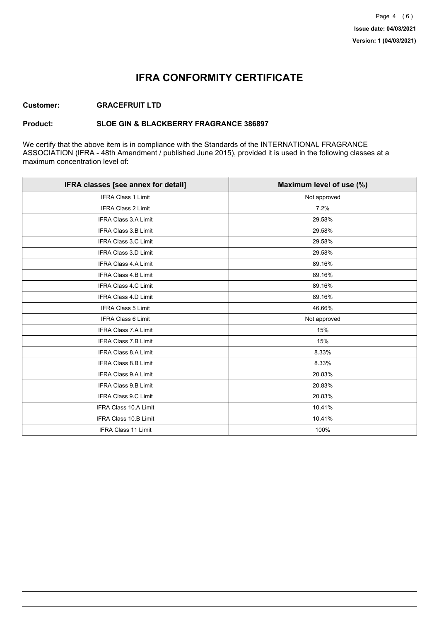## **IFRA CONFORMITY CERTIFICATE**

### **Customer: GRACEFRUIT LTD**

### **Product: SLOE GIN & BLACKBERRY FRAGRANCE 386897**

We certify that the above item is in compliance with the Standards of the INTERNATIONAL FRAGRANCE ASSOCIATION (IFRA - 48th Amendment / published June 2015), provided it is used in the following classes at a maximum concentration level of:

| IFRA classes [see annex for detail] | Maximum level of use (%) |
|-------------------------------------|--------------------------|
| <b>IFRA Class 1 Limit</b>           | Not approved             |
| <b>IFRA Class 2 Limit</b>           | 7.2%                     |
| <b>IFRA Class 3.A Limit</b>         | 29.58%                   |
| IFRA Class 3.B Limit                | 29.58%                   |
| IFRA Class 3.C Limit                | 29.58%                   |
| IFRA Class 3.D Limit                | 29.58%                   |
| <b>IFRA Class 4.A Limit</b>         | 89.16%                   |
| <b>IFRA Class 4.B Limit</b>         | 89.16%                   |
| IFRA Class 4.C Limit                | 89.16%                   |
| <b>IFRA Class 4.D Limit</b>         | 89.16%                   |
| <b>IFRA Class 5 Limit</b>           | 46.66%                   |
| <b>IFRA Class 6 Limit</b>           | Not approved             |
| <b>IFRA Class 7.A Limit</b>         | 15%                      |
| IFRA Class 7.B Limit                | 15%                      |
| IFRA Class 8.A Limit                | 8.33%                    |
| IFRA Class 8.B Limit                | 8.33%                    |
| <b>IFRA Class 9.A Limit</b>         | 20.83%                   |
| <b>IFRA Class 9.B Limit</b>         | 20.83%                   |
| IFRA Class 9.C Limit                | 20.83%                   |
| IFRA Class 10.A Limit               | 10.41%                   |
| IFRA Class 10.B Limit               | 10.41%                   |
| <b>IFRA Class 11 Limit</b>          | 100%                     |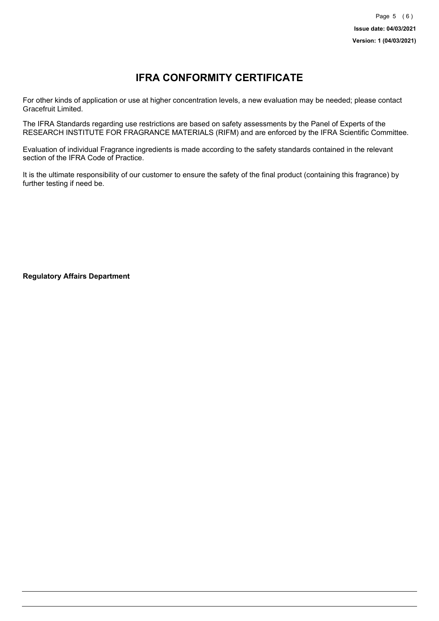# **IFRA CONFORMITY CERTIFICATE**

For other kinds of application or use at higher concentration levels, a new evaluation may be needed; please contact Gracefruit Limited.

The IFRA Standards regarding use restrictions are based on safety assessments by the Panel of Experts of the RESEARCH INSTITUTE FOR FRAGRANCE MATERIALS (RIFM) and are enforced by the IFRA Scientific Committee.

Evaluation of individual Fragrance ingredients is made according to the safety standards contained in the relevant section of the IFRA Code of Practice.

It is the ultimate responsibility of our customer to ensure the safety of the final product (containing this fragrance) by further testing if need be.

**Regulatory Affairs Department**